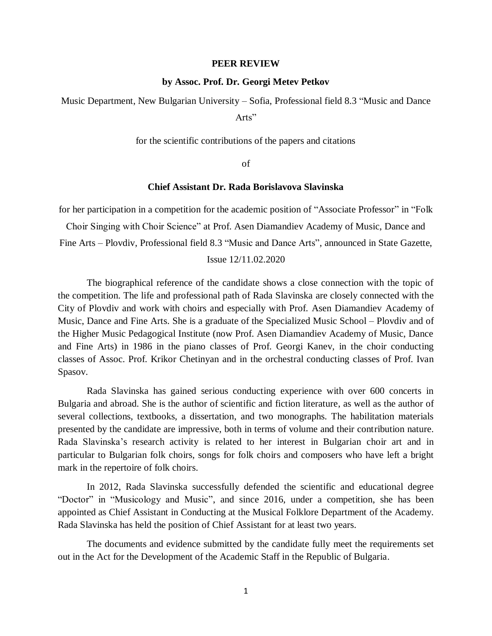#### **PEER REVIEW**

#### **by Assoc. Prof. Dr. Georgi Metev Petkov**

Music Department, New Bulgarian University – Sofia, Professional field 8.3 "Music and Dance Arts"

for the scientific contributions of the papers and citations

of

### **Chief Assistant Dr. Rada Borislavova Slavinska**

for her participation in a competition for the academic position of "Associate Professor" in "Folk

Choir Singing with Choir Science" at Prof. Asen Diamandiev Academy of Music, Dance and

Fine Arts – Plovdiv, Professional field 8.3 "Music and Dance Arts", announced in State Gazette,

## Issue 12/11.02.2020

The biographical reference of the candidate shows a close connection with the topic of the competition. The life and professional path of Rada Slavinska are closely connected with the City of Plovdiv and work with choirs and especially with Prof. Asen Diamandiev Academy of Music, Dance and Fine Arts. She is a graduate of the Specialized Music School – Plovdiv and of the Higher Music Pedagogical Institute (now Prof. Asen Diamandiev Academy of Music, Dance and Fine Arts) in 1986 in the piano classes of Prof. Georgi Kanev, in the choir conducting classes of Assoc. Prof. Krikor Chetinyan and in the orchestral conducting classes of Prof. Ivan Spasov.

Rada Slavinska has gained serious conducting experience with over 600 concerts in Bulgaria and abroad. She is the author of scientific and fiction literature, as well as the author of several collections, textbooks, a dissertation, and two monographs. The habilitation materials presented by the candidate are impressive, both in terms of volume and their contribution nature. Rada Slavinska's research activity is related to her interest in Bulgarian choir art and in particular to Bulgarian folk choirs, songs for folk choirs and composers who have left a bright mark in the repertoire of folk choirs.

In 2012, Rada Slavinska successfully defended the scientific and educational degree "Doctor" in "Musicology and Music", and since 2016, under a competition, she has been appointed as Chief Assistant in Conducting at the Musical Folklore Department of the Academy. Rada Slavinska has held the position of Chief Assistant for at least two years.

The documents and evidence submitted by the candidate fully meet the requirements set out in the Act for the Development of the Academic Staff in the Republic of Bulgaria.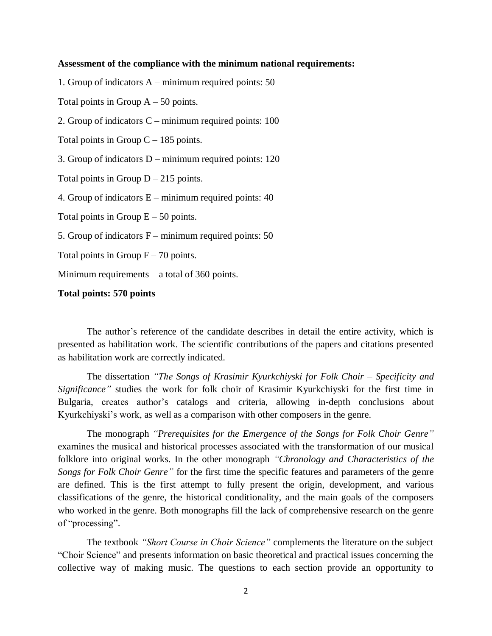## **Assessment of the compliance with the minimum national requirements:**

1. Group of indicators A – minimum required points: 50

Total points in Group  $A - 50$  points.

2. Group of indicators C – minimum required points: 100

Total points in Group  $C - 185$  points.

3. Group of indicators D – minimum required points: 120

Total points in Group  $D - 215$  points.

4. Group of indicators E – minimum required points: 40

Total points in Group  $E - 50$  points.

5. Group of indicators F – minimum required points: 50

Total points in Group  $F - 70$  points.

Minimum requirements – a total of 360 points.

# **Total points: 570 points**

The author's reference of the candidate describes in detail the entire activity, which is presented as habilitation work. The scientific contributions of the papers and citations presented as habilitation work are correctly indicated.

The dissertation *"The Songs of Krasimir Kyurkchiyski for Folk Choir – Specificity and Significance"* studies the work for folk choir of Krasimir Kyurkchiyski for the first time in Bulgaria, creates author's catalogs and criteria, allowing in-depth conclusions about Kyurkchiyski's work, as well as a comparison with other composers in the genre.

The monograph *"Prerequisites for the Emergence of the Songs for Folk Choir Genre"* examines the musical and historical processes associated with the transformation of our musical folklore into original works. In the other monograph *"Chronology and Characteristics of the Songs for Folk Choir Genre"* for the first time the specific features and parameters of the genre are defined. This is the first attempt to fully present the origin, development, and various classifications of the genre, the historical conditionality, and the main goals of the composers who worked in the genre. Both monographs fill the lack of comprehensive research on the genre of "processing".

The textbook *"Short Course in Choir Science"* complements the literature on the subject "Choir Science" and presents information on basic theoretical and practical issues concerning the collective way of making music. The questions to each section provide an opportunity to